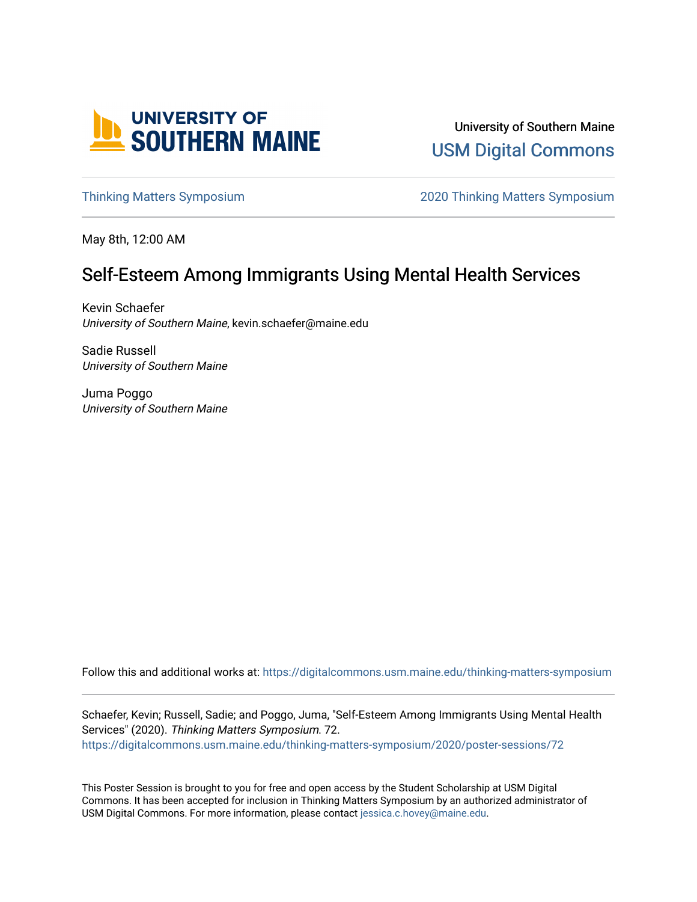

University of Southern Maine [USM Digital Commons](https://digitalcommons.usm.maine.edu/) 

[Thinking Matters Symposium](https://digitalcommons.usm.maine.edu/thinking-matters-symposium) [2020 Thinking Matters Symposium](https://digitalcommons.usm.maine.edu/thinking-matters-symposium/2020) 

May 8th, 12:00 AM

# Self-Esteem Among Immigrants Using Mental Health Services

Kevin Schaefer University of Southern Maine, kevin.schaefer@maine.edu

Sadie Russell University of Southern Maine

Juma Poggo University of Southern Maine

Follow this and additional works at: [https://digitalcommons.usm.maine.edu/thinking-matters-symposium](https://digitalcommons.usm.maine.edu/thinking-matters-symposium?utm_source=digitalcommons.usm.maine.edu%2Fthinking-matters-symposium%2F2020%2Fposter-sessions%2F72&utm_medium=PDF&utm_campaign=PDFCoverPages) 

Schaefer, Kevin; Russell, Sadie; and Poggo, Juma, "Self-Esteem Among Immigrants Using Mental Health Services" (2020). Thinking Matters Symposium. 72. [https://digitalcommons.usm.maine.edu/thinking-matters-symposium/2020/poster-sessions/72](https://digitalcommons.usm.maine.edu/thinking-matters-symposium/2020/poster-sessions/72?utm_source=digitalcommons.usm.maine.edu%2Fthinking-matters-symposium%2F2020%2Fposter-sessions%2F72&utm_medium=PDF&utm_campaign=PDFCoverPages) 

This Poster Session is brought to you for free and open access by the Student Scholarship at USM Digital Commons. It has been accepted for inclusion in Thinking Matters Symposium by an authorized administrator of USM Digital Commons. For more information, please contact [jessica.c.hovey@maine.edu](mailto:ian.fowler@maine.edu).